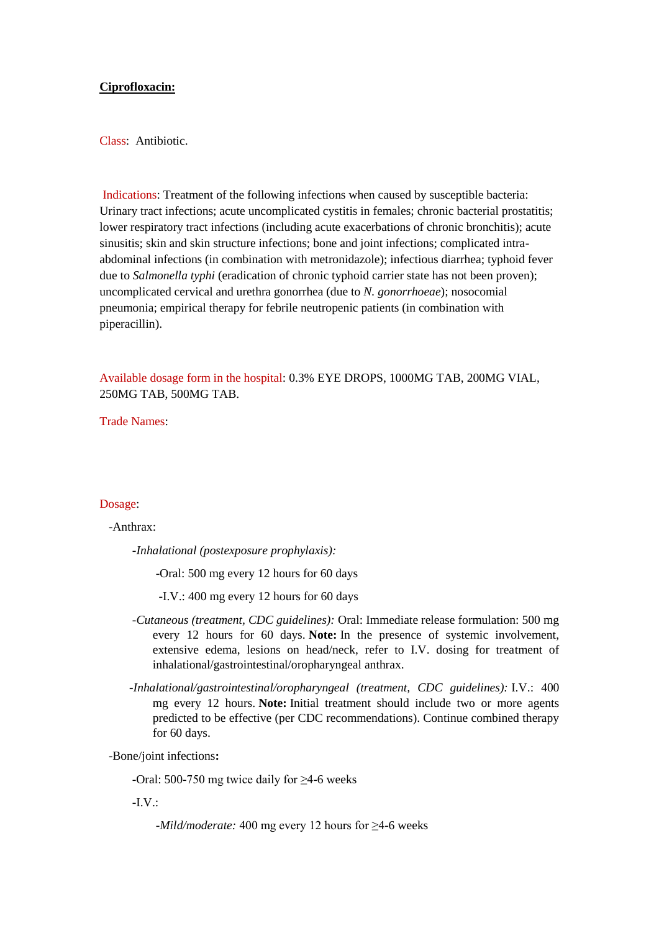## **Ciprofloxacin:**

Class: Antibiotic.

Indications: Treatment of the following infections when caused by susceptible bacteria: Urinary tract infections; acute uncomplicated cystitis in females; chronic bacterial prostatitis; lower respiratory tract infections (including acute exacerbations of chronic bronchitis); acute sinusitis; skin and skin structure infections; bone and joint infections; complicated intraabdominal infections (in combination with metronidazole); infectious diarrhea; typhoid fever due to *Salmonella typhi* (eradication of chronic typhoid carrier state has not been proven); uncomplicated cervical and urethra gonorrhea (due to *N. gonorrhoeae*); nosocomial pneumonia; empirical therapy for febrile neutropenic patients (in combination with piperacillin).

Available dosage form in the hospital: 0.3% EYE DROPS, 1000MG TAB, 200MG VIAL, 250MG TAB, 500MG TAB.

Trade Names:

## Dosage:

-Anthrax:

 *-Inhalational (postexposure prophylaxis):*

-Oral: 500 mg every 12 hours for 60 days

-I.V.: 400 mg every 12 hours for 60 days

- *-Cutaneous (treatment, CDC guidelines):* Oral: Immediate release formulation: 500 mg every 12 hours for 60 days. **Note:** In the presence of systemic involvement, extensive edema, lesions on head/neck, refer to I.V. dosing for treatment of inhalational/gastrointestinal/oropharyngeal anthrax.
- *-Inhalational/gastrointestinal/oropharyngeal (treatment, CDC guidelines):* I.V.: 400 mg every 12 hours. **Note:** Initial treatment should include two or more agents predicted to be effective (per CDC recommendations). Continue combined therapy for 60 days.

-Bone/joint infections**:**

-Oral: 500-750 mg twice daily for  $\geq$ 4-6 weeks

-I.V.:

*-Mild/moderate:* 400 mg every 12 hours for ≥4-6 weeks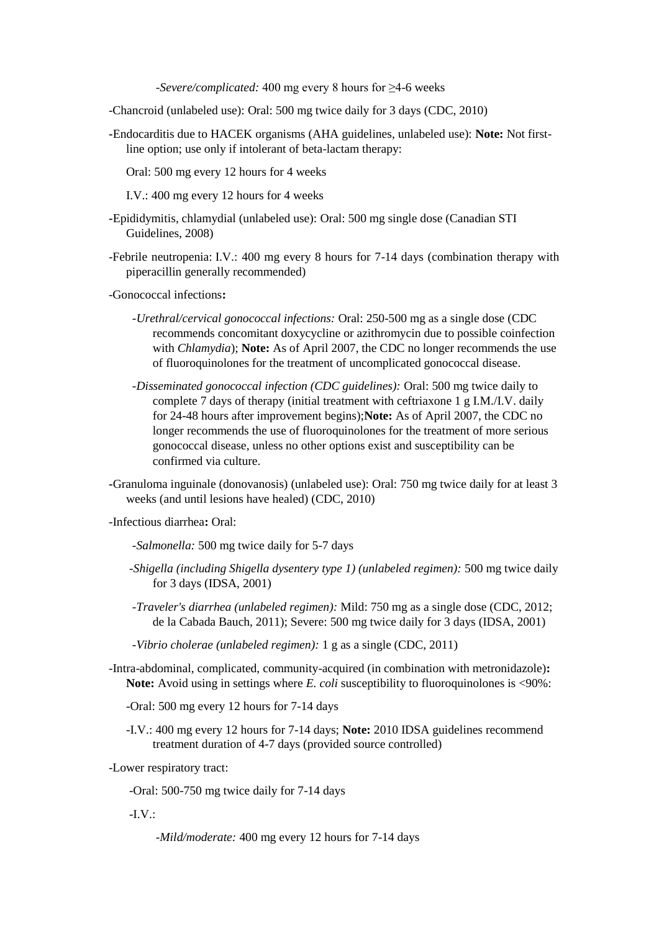*-Severe/complicated:* 400 mg every 8 hours for ≥4-6 weeks

- -Chancroid (unlabeled use): Oral: 500 mg twice daily for 3 days (CDC, 2010)
- **-**Endocarditis due to HACEK organisms (AHA guidelines, unlabeled use): **Note:** Not firstline option; use only if intolerant of beta-lactam therapy:
	- Oral: 500 mg every 12 hours for 4 weeks
	- I.V.: 400 mg every 12 hours for 4 weeks
- **-**Epididymitis, chlamydial (unlabeled use): Oral: 500 mg single dose (Canadian STI Guidelines, 2008)
- -Febrile neutropenia: I.V.: 400 mg every 8 hours for 7-14 days (combination therapy with piperacillin generally recommended)
- -Gonococcal infections**:**
	- *-Urethral/cervical gonococcal infections:* Oral: 250-500 mg as a single dose (CDC recommends concomitant doxycycline or azithromycin due to possible coinfection with *Chlamydia*); **Note:** As of April 2007, the CDC no longer recommends the use of fluoroquinolones for the treatment of uncomplicated gonococcal disease.
	- *-Disseminated gonococcal infection (CDC guidelines):* Oral: 500 mg twice daily to complete 7 days of therapy (initial treatment with ceftriaxone 1 g I.M./I.V. daily for 24-48 hours after improvement begins);**Note:** As of April 2007, the CDC no longer recommends the use of fluoroquinolones for the treatment of more serious gonococcal disease, unless no other options exist and susceptibility can be confirmed via culture.
- **-**Granuloma inguinale (donovanosis) (unlabeled use): Oral: 750 mg twice daily for at least 3 weeks (and until lesions have healed) (CDC, 2010)

-Infectious diarrhea**:** Oral:

- *-Salmonella:* 500 mg twice daily for 5-7 days
- *-Shigella (including Shigella dysentery type 1) (unlabeled regimen):* 500 mg twice daily for 3 days (IDSA, 2001)
- *-Traveler's diarrhea (unlabeled regimen):* Mild: 750 mg as a single dose (CDC, 2012; de la Cabada Bauch, 2011); Severe: 500 mg twice daily for 3 days (IDSA, 2001)
- *-Vibrio cholerae (unlabeled regimen):* 1 g as a single (CDC, 2011)
- -Intra-abdominal, complicated, community-acquired (in combination with metronidazole)**:**  Note: Avoid using in settings where *E. coli* susceptibility to fluoroquinolones is <90%:
	- -Oral: 500 mg every 12 hours for 7-14 days
	- -I.V.: 400 mg every 12 hours for 7-14 days; **Note:** 2010 IDSA guidelines recommend treatment duration of 4-7 days (provided source controlled)

-Lower respiratory tract:

-Oral: 500-750 mg twice daily for 7-14 days

-I.V.:

*-Mild/moderate:* 400 mg every 12 hours for 7-14 days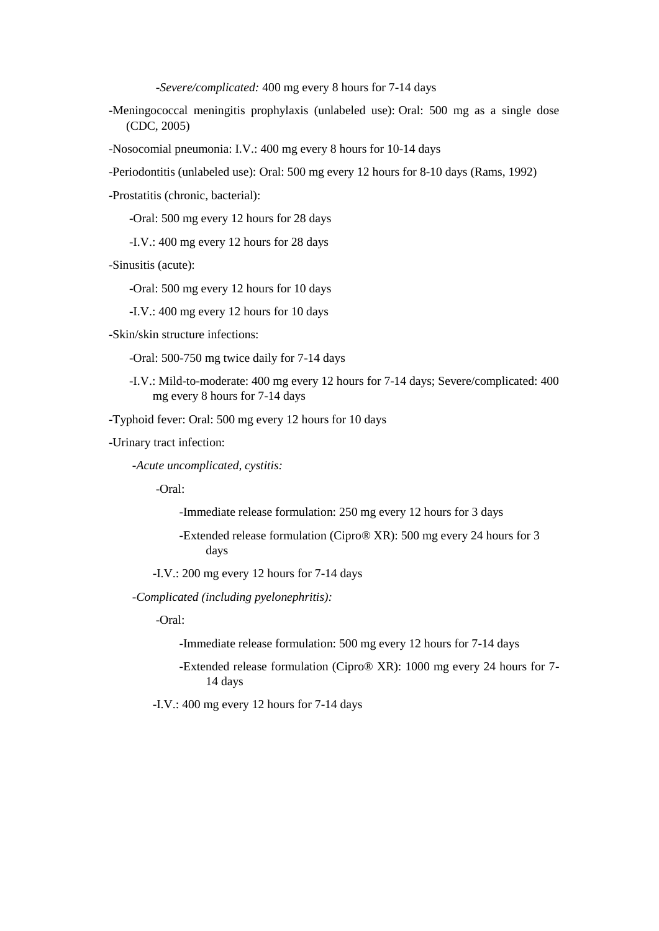*-Severe/complicated:* 400 mg every 8 hours for 7-14 days

 -Meningococcal meningitis prophylaxis (unlabeled use): Oral: 500 mg as a single dose (CDC, 2005)

-Nosocomial pneumonia: I.V.: 400 mg every 8 hours for 10-14 days

-Periodontitis (unlabeled use): Oral: 500 mg every 12 hours for 8-10 days (Rams, 1992)

-Prostatitis (chronic, bacterial):

-Oral: 500 mg every 12 hours for 28 days

-I.V.: 400 mg every 12 hours for 28 days

-Sinusitis (acute):

-Oral: 500 mg every 12 hours for 10 days

-I.V.: 400 mg every 12 hours for 10 days

-Skin/skin structure infections:

-Oral: 500-750 mg twice daily for 7-14 days

-I.V.: Mild-to-moderate: 400 mg every 12 hours for 7-14 days; Severe/complicated: 400 mg every 8 hours for 7-14 days

-Typhoid fever: Oral: 500 mg every 12 hours for 10 days

-Urinary tract infection:

 *-Acute uncomplicated, cystitis:*

-Oral:

-Immediate release formulation: 250 mg every 12 hours for 3 days

-Extended release formulation (Cipro® XR): 500 mg every 24 hours for 3 days

-I.V.: 200 mg every 12 hours for 7-14 days

 *-Complicated (including pyelonephritis):*

-Oral:

-Immediate release formulation: 500 mg every 12 hours for 7-14 days

-Extended release formulation (Cipro® XR): 1000 mg every 24 hours for 7- 14 days

-I.V.: 400 mg every 12 hours for 7-14 days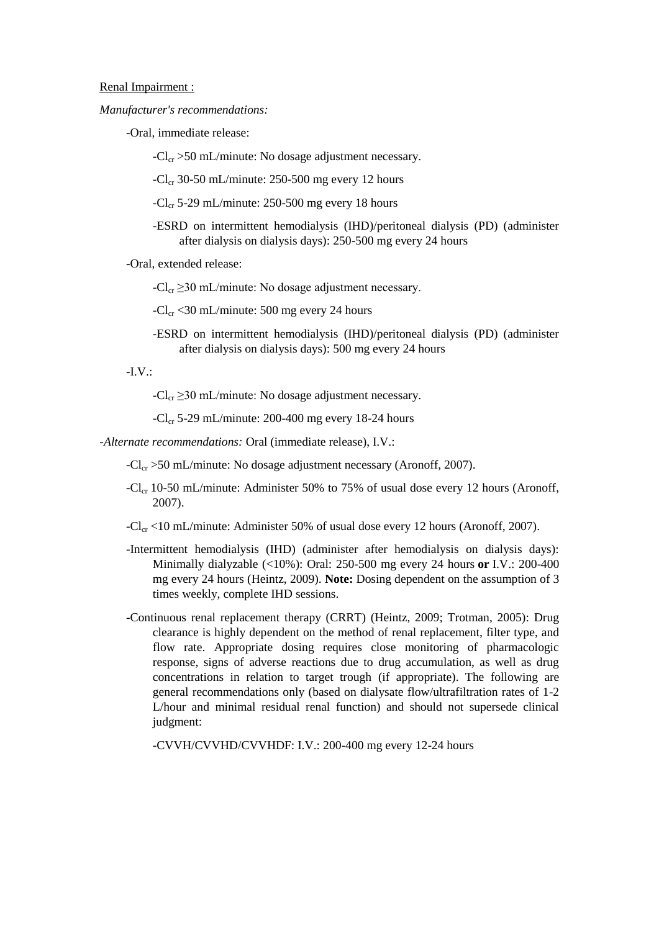Renal Impairment :

*Manufacturer's recommendations:*

-Oral, immediate release:

 $-Cl_{cr} > 50$  mL/minute: No dosage adjustment necessary.

 $-Cl_{cr}$  30-50 mL/minute: 250-500 mg every 12 hours

 $-Cl_{cr}$  5-29 mL/minute: 250-500 mg every 18 hours

-ESRD on intermittent hemodialysis (IHD)/peritoneal dialysis (PD) (administer after dialysis on dialysis days): 250-500 mg every 24 hours

-Oral, extended release:

 $-Cl_{cr}$  > 30 mL/minute: No dosage adjustment necessary.

 $-Cl_{cr}$  < 30 mL/minute: 500 mg every 24 hours

-ESRD on intermittent hemodialysis (IHD)/peritoneal dialysis (PD) (administer after dialysis on dialysis days): 500 mg every 24 hours

-I.V.:

 $-Cl_{cr} \geq 30$  mL/minute: No dosage adjustment necessary.

 $-Cl_{cr}$  5-29 mL/minute: 200-400 mg every 18-24 hours

*-Alternate recommendations:* Oral (immediate release), I.V.:

- $-Cl_{cr} > 50$  mL/minute: No dosage adjustment necessary (Aronoff, 2007).
- $-Cl_{cr}$  10-50 mL/minute: Administer 50% to 75% of usual dose every 12 hours (Aronoff, 2007).
- $-Cl_{cr}$  <10 mL/minute: Administer 50% of usual dose every 12 hours (Aronoff, 2007).
- -Intermittent hemodialysis (IHD) (administer after hemodialysis on dialysis days): Minimally dialyzable (<10%): Oral: 250-500 mg every 24 hours **or** I.V.: 200-400 mg every 24 hours (Heintz, 2009). **Note:** Dosing dependent on the assumption of 3 times weekly, complete IHD sessions.
- -Continuous renal replacement therapy (CRRT) (Heintz, 2009; Trotman, 2005): Drug clearance is highly dependent on the method of renal replacement, filter type, and flow rate. Appropriate dosing requires close monitoring of pharmacologic response, signs of adverse reactions due to drug accumulation, as well as drug concentrations in relation to target trough (if appropriate). The following are general recommendations only (based on dialysate flow/ultrafiltration rates of 1-2 L/hour and minimal residual renal function) and should not supersede clinical judgment:

-CVVH/CVVHD/CVVHDF: I.V.: 200-400 mg every 12-24 hours